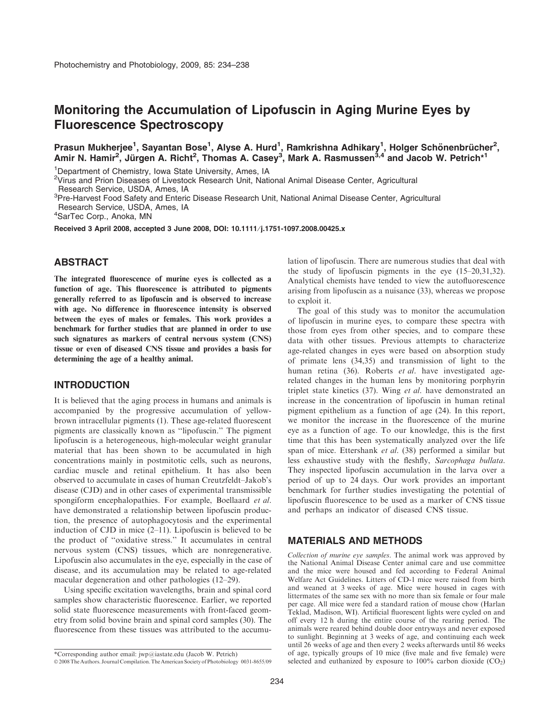# Monitoring the Accumulation of Lipofuscin in Aging Murine Eyes by Fluorescence Spectroscopy

# Prasun Mukherjee<sup>1</sup>, Sayantan Bose<sup>1</sup>, Alyse A. Hurd<sup>1</sup>, Ramkrishna Adhikary<sup>1</sup>, Holger Schönenbrücher<sup>2</sup>, Amir N. Hamir<sup>2</sup>, Jürgen A. Richt<sup>2</sup>, Thomas A. Casey<sup>3</sup>, Mark A. Rasmussen<sup>3,4</sup> and Jacob W. Petrich\*<sup>1</sup>

<sup>1</sup> Department of Chemistry, Iowa State University, Ames, IA

<sup>2</sup>Virus and Prion Diseases of Livestock Research Unit, National Animal Disease Center, Agricultural

Research Service, USDA, Ames, IA

<sup>3</sup>Pre-Harvest Food Safety and Enteric Disease Research Unit, National Animal Disease Center, Agricultural Research Service, USDA, Ames, IA

<sup>4</sup>SarTec Corp., Anoka, MN

Received 3 April 2008, accepted 3 June 2008, DOI: 10.1111/j.1751-1097.2008.00425.x

## ABSTRACT

The integrated fluorescence of murine eyes is collected as a function of age. This fluorescence is attributed to pigments generally referred to as lipofuscin and is observed to increase with age. No difference in fluorescence intensity is observed between the eyes of males or females. This work provides a benchmark for further studies that are planned in order to use such signatures as markers of central nervous system (CNS) tissue or even of diseased CNS tissue and provides a basis for determining the age of a healthy animal.

### INTRODUCTION

It is believed that the aging process in humans and animals is accompanied by the progressive accumulation of yellowbrown intracellular pigments (1). These age-related fluorescent pigments are classically known as ''lipofuscin.'' The pigment lipofuscin is a heterogeneous, high-molecular weight granular material that has been shown to be accumulated in high concentrations mainly in postmitotic cells, such as neurons, cardiac muscle and retinal epithelium. It has also been observed to accumulate in cases of human Creutzfeldt–Jakob's disease (CJD) and in other cases of experimental transmissible spongiform encephalopathies. For example, Boellaard et al. have demonstrated a relationship between lipofuscin production, the presence of autophagocytosis and the experimental induction of CJD in mice (2–11). Lipofuscin is believed to be the product of ''oxidative stress.'' It accumulates in central nervous system (CNS) tissues, which are nonregenerative. Lipofuscin also accumulates in the eye, especially in the case of disease, and its accumulation may be related to age-related macular degeneration and other pathologies (12–29).

Using specific excitation wavelengths, brain and spinal cord samples show characteristic fluorescence. Earlier, we reported solid state fluorescence measurements with front-faced geometry from solid bovine brain and spinal cord samples (30). The fluorescence from these tissues was attributed to the accumulation of lipofuscin. There are numerous studies that deal with the study of lipofuscin pigments in the eye (15–20,31,32). Analytical chemists have tended to view the autofluorescence arising from lipofuscin as a nuisance (33), whereas we propose to exploit it.

The goal of this study was to monitor the accumulation of lipofuscin in murine eyes, to compare these spectra with those from eyes from other species, and to compare these data with other tissues. Previous attempts to characterize age-related changes in eyes were based on absorption study of primate lens (34,35) and transmission of light to the human retina (36). Roberts et al. have investigated agerelated changes in the human lens by monitoring porphyrin triplet state kinetics (37). Wing et al. have demonstrated an increase in the concentration of lipofuscin in human retinal pigment epithelium as a function of age (24). In this report, we monitor the increase in the fluorescence of the murine eye as a function of age. To our knowledge, this is the first time that this has been systematically analyzed over the life span of mice. Ettershank et al. (38) performed a similar but less exhaustive study with the fleshfly, Sarcophaga bullata. They inspected lipofuscin accumulation in the larva over a period of up to 24 days. Our work provides an important benchmark for further studies investigating the potential of lipofuscin fluorescence to be used as a marker of CNS tissue and perhaps an indicator of diseased CNS tissue.

## MATERIALS AND METHODS

Collection of murine eye samples. The animal work was approved by the National Animal Disease Center animal care and use committee and the mice were housed and fed according to Federal Animal Welfare Act Guidelines. Litters of CD-1 mice were raised from birth and weaned at 3 weeks of age. Mice were housed in cages with littermates of the same sex with no more than six female or four male per cage. All mice were fed a standard ration of mouse chow (Harlan Teklad, Madison, WI). Artificial fluorescent lights were cycled on and off every 12 h during the entire course of the rearing period. The animals were reared behind double door entryways and never exposed to sunlight. Beginning at 3 weeks of age, and continuing each week until 26 weeks of age and then every 2 weeks afterwards until 86 weeks of age, typically groups of 10 mice (five male and five female) were selected and euthanized by exposure to  $100\%$  carbon dioxide  $(CO_2)$ 

<sup>\*</sup>Corresponding author email: jwp@iastate.edu (Jacob W. Petrich) © 2008 The Authors. Journal Compilation. The American Society of Photobiology 0031-8655/09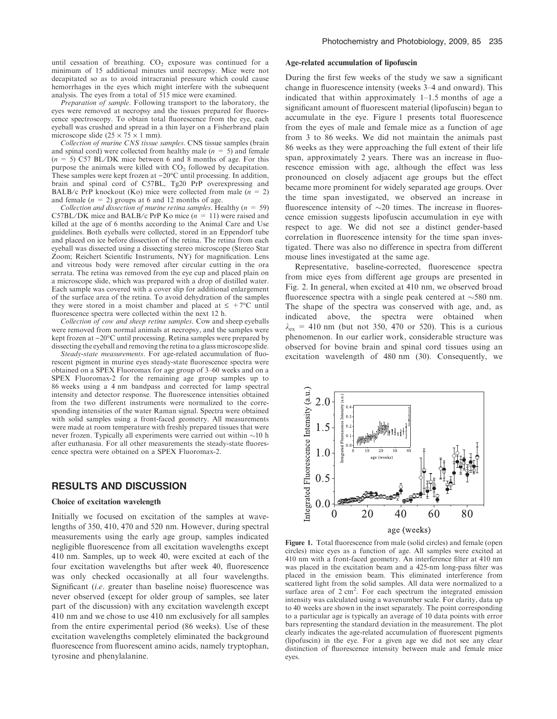until cessation of breathing.  $CO<sub>2</sub>$  exposure was continued for a minimum of 15 additional minutes until necropsy. Mice were not decapitated so as to avoid intracranial pressure which could cause hemorrhages in the eyes which might interfere with the subsequent analysis. The eyes from a total of 515 mice were examined.

Preparation of sample. Following transport to the laboratory, the eyes were removed at necropsy and the tissues prepared for fluorescence spectroscopy. To obtain total fluorescence from the eye, each eyeball was crushed and spread in a thin layer on a Fisherbrand plain microscope slide  $(25 \times 75 \times 1 \text{ mm})$ .

Collection of murine CNS tissue samples. CNS tissue samples (brain and spinal cord) were collected from healthy male ( $n = 5$ ) and female  $(n = 5)$  C57 BL/DK mice between 6 and 8 months of age. For this purpose the animals were killed with CO<sub>2</sub> followed by decapitation. These samples were kept frozen at  $-20^{\circ}$ C until processing. In addition, brain and spinal cord of C57BL, Tg20 PrP overexpressing and BALB/c PrP knockout (Ko) mice were collected from male  $(n = 2)$ and female  $(n = 2)$  groups at 6 and 12 months of age.

Collection and dissection of murine retina samples. Healthy  $(n = 59)$ C57BL/DK mice and BALB/c PrP Ko mice  $(n = 11)$  were raised and killed at the age of 6 months according to the Animal Care and Use guidelines. Both eyeballs were collected, stored in an Eppendorf tube and placed on ice before dissection of the retina. The retina from each eyeball was dissected using a dissecting stereo microscope (Stereo Star Zoom; Reichert Scientific Instruments, NY) for magnification. Lens and vitreous body were removed after circular cutting in the ora serrata. The retina was removed from the eye cup and placed plain on a microscope slide, which was prepared with a drop of distilled water. Each sample was covered with a cover slip for additional enlargement of the surface area of the retina. To avoid dehydration of the samples they were stored in a moist chamber and placed at  $\leq +7^{\circ}$ C until fluorescence spectra were collected within the next 12 h.

Collection of cow and sheep retina samples. Cow and sheep eyeballs were removed from normal animals at necropsy, and the samples were kept frozen at  $-20^{\circ}$ C until processing. Retina samples were prepared by dissecting the eyeball and removing the retina to a glass microscope slide.

Steady-state measurements. For age-related accumulation of fluorescent pigment in murine eyes steady-state fluorescence spectra were obtained on a SPEX Fluoromax for age group of 3–60 weeks and on a SPEX Fluoromax-2 for the remaining age group samples up to 86 weeks using a 4 nm bandpass and corrected for lamp spectral intensity and detector response. The fluorescence intensities obtained from the two different instruments were normalized to the corresponding intensities of the water Raman signal. Spectra were obtained with solid samples using a front-faced geometry. All measurements were made at room temperature with freshly prepared tissues that were never frozen. Typically all experiments were carried out within  $\sim$ 10 h after euthanasia. For all other measurements the steady-state fluorescence spectra were obtained on a SPEX Fluoromax-2.

### RESULTS AND DISCUSSION

#### Choice of excitation wavelength

Initially we focused on excitation of the samples at wavelengths of 350, 410, 470 and 520 nm. However, during spectral measurements using the early age group, samples indicated negligible fluorescence from all excitation wavelengths except 410 nm. Samples, up to week 40, were excited at each of the four excitation wavelengths but after week 40, fluorescence was only checked occasionally at all four wavelengths. Significant (i.e. greater than baseline noise) fluorescence was never observed (except for older group of samples, see later part of the discussion) with any excitation wavelength except 410 nm and we chose to use 410 nm exclusively for all samples from the entire experimental period (86 weeks). Use of these excitation wavelengths completely eliminated the background fluorescence from fluorescent amino acids, namely tryptophan, tyrosine and phenylalanine.

#### Age-related accumulation of lipofuscin

During the first few weeks of the study we saw a significant change in fluorescence intensity (weeks 3–4 and onward). This indicated that within approximately 1–1.5 months of age a significant amount of fluorescent material (lipofuscin) began to accumulate in the eye. Figure 1 presents total fluorescence from the eyes of male and female mice as a function of age from 3 to 86 weeks. We did not maintain the animals past 86 weeks as they were approaching the full extent of their life span, approximately 2 years. There was an increase in fluorescence emission with age, although the effect was less pronounced on closely adjacent age groups but the effect became more prominent for widely separated age groups. Over the time span investigated, we observed an increase in fluorescence intensity of  $\sim$ 20 times. The increase in fluorescence emission suggests lipofuscin accumulation in eye with respect to age. We did not see a distinct gender-based correlation in fluorescence intensity for the time span investigated. There was also no difference in spectra from different mouse lines investigated at the same age.

Representative, baseline-corrected, fluorescence spectra from mice eyes from different age groups are presented in Fig. 2. In general, when excited at 410 nm, we observed broad fluorescence spectra with a single peak centered at  $\sim$ 580 nm. The shape of the spectra was conserved with age, and, as indicated above, the spectra were obtained when  $\lambda_{\rm ex}$  = 410 nm (but not 350, 470 or 520). This is a curious phenomenon. In our earlier work, considerable structure was observed for bovine brain and spinal cord tissues using an excitation wavelength of 480 nm (30). Consequently, we



Figure 1. Total fluorescence from male (solid circles) and female (open circles) mice eyes as a function of age. All samples were excited at 410 nm with a front-faced geometry. An interference filter at 410 nm was placed in the excitation beam and a 425-nm long-pass filter was placed in the emission beam. This eliminated interference from scattered light from the solid samples. All data were normalized to a surface area of 2 cm<sup>2</sup>. For each spectrum the integrated emission intensity was calculated using a wavenumber scale. For clarity, data up to 40 weeks are shown in the inset separately. The point corresponding to a particular age is typically an average of 10 data points with error bars representing the standard deviation in the measurement. The plot clearly indicates the age-related accumulation of fluorescent pigments (lipofuscin) in the eye. For a given age we did not see any clear distinction of fluorescence intensity between male and female mice eyes.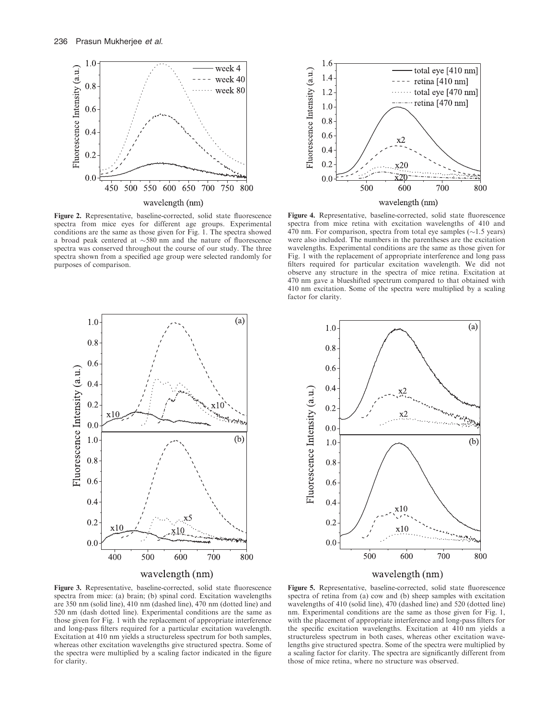

Figure 2. Representative, baseline-corrected, solid state fluorescence spectra from mice eyes for different age groups. Experimental conditions are the same as those given for Fig. 1. The spectra showed a broad peak centered at  $\sim$  580 nm and the nature of fluorescence spectra was conserved throughout the course of our study. The three spectra shown from a specified age group were selected randomly for purposes of comparison.



Figure 4. Representative, baseline-corrected, solid state fluorescence spectra from mice retina with excitation wavelengths of 410 and  $\hat{470}$  nm. For comparison, spectra from total eye samples ( $\sim$ 1.5 years) were also included. The numbers in the parentheses are the excitation wavelengths. Experimental conditions are the same as those given for Fig. 1 with the replacement of appropriate interference and long pass filters required for particular excitation wavelength. We did not observe any structure in the spectra of mice retina. Excitation at 470 nm gave a blueshifted spectrum compared to that obtained with 410 nm excitation. Some of the spectra were multiplied by a scaling factor for clarity.





Figure 3. Representative, baseline-corrected, solid state fluorescence spectra from mice: (a) brain; (b) spinal cord. Excitation wavelengths are 350 nm (solid line), 410 nm (dashed line), 470 nm (dotted line) and 520 nm (dash dotted line). Experimental conditions are the same as those given for Fig. 1 with the replacement of appropriate interference and long-pass filters required for a particular excitation wavelength. Excitation at 410 nm yields a structureless spectrum for both samples, whereas other excitation wavelengths give structured spectra. Some of the spectra were multiplied by a scaling factor indicated in the figure for clarity.

Figure 5. Representative, baseline-corrected, solid state fluorescence spectra of retina from (a) cow and (b) sheep samples with excitation wavelengths of 410 (solid line), 470 (dashed line) and 520 (dotted line) nm. Experimental conditions are the same as those given for Fig. 1, with the placement of appropriate interference and long-pass filters for the specific excitation wavelengths. Excitation at 410 nm yields a structureless spectrum in both cases, whereas other excitation wavelengths give structured spectra. Some of the spectra were multiplied by a scaling factor for clarity. The spectra are significantly different from those of mice retina, where no structure was observed.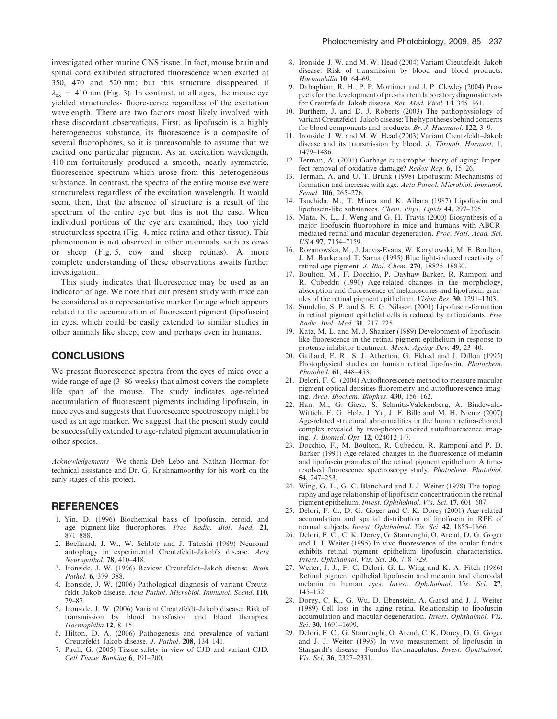investigated other murine CNS tissue. In fact, mouse brain and spinal cord exhibited structured fluorescence when excited at 350, 470 and 520 nm; but this structure disappeared if  $\lambda_{\rm ex}$  = 410 nm (Fig. 3). In contrast, at all ages, the mouse eye yielded structureless fluorescence regardless of the excitation wavelength. There are two factors most likely involved with these discordant observations. First, as lipofuscin is a highly heterogeneous substance, its fluorescence is a composite of several fluorophores, so it is unreasonable to assume that we excited one particular pigment. As an excitation wavelength, 410 nm fortuitously produced a smooth, nearly symmetric, fluorescence spectrum which arose from this heterogeneous substance. In contrast, the spectra of the entire mouse eye were structureless regardless of the excitation wavelength. It would seem, then, that the absence of structure is a result of the spectrum of the entire eye but this is not the case. When individual portions of the eye are examined, they too yield structureless spectra (Fig. 4, mice retina and other tissue). This phenomenon is not observed in other mammals, such as cows or sheep (Fig. 5, cow and sheep retinas). A more complete understanding of these observations awaits further investigation.

This study indicates that fluorescence may be used as an indicator of age. We note that our present study with mice can be considered as a representative marker for age which appears related to the accumulation of fluorescent pigment (lipofuscin) in eyes, which could be easily extended to similar studies in other animals like sheep, cow and perhaps even in humans.

## **CONCLUSIONS**

We present fluorescence spectra from the eyes of mice over a wide range of age (3–86 weeks) that almost covers the complete life span of the mouse. The study indicates age-related accumulation of fluorescent pigments including lipofuscin, in mice eyes and suggests that fluorescence spectroscopy might be used as an age marker. We suggest that the present study could be successfully extended to age-related pigment accumulation in other species.

Acknowledgements—We thank Deb Lebo and Nathan Horman for technical assistance and Dr. G. Krishnamoorthy for his work on the early stages of this project.

## **REFERENCES**

- 1. Yin, D. (1996) Biochemical basis of lipofuscin, ceroid, and age pigment-like fluorophores. Free Radic. Biol. Med. 21, 871–888.
- 2. Boellaard, J. W., W. Schlote and J. Tateishi (1989) Neuronal autophagy in experimental Creutzfeldt–Jakob's disease. Acta Neuropathol. 78, 410–418.
- 3. Ironside, J. W. (1996) Review: Creutzfeldt–Jakob disease. Brain Pathol. 6, 379–388.
- 4. Ironside, J. W. (2006) Pathological diagnosis of variant Creutzfeldt–Jakob disease. Acta Pathol. Microbiol. Immunol. Scand. 110, 79–87.
- 5. Ironside, J. W. (2006) Variant Creutzfeldt–Jakob disease: Risk of transmission by blood transfusion and blood therapies. Haemophilia 12, 8–15.
- 6. Hilton, D. A. (2006) Pathogenesis and prevalence of variant Creutzfeldt–Jakob disease. J. Pathol. 208, 134–141.
- 7. Pauli, G. (2005) Tissue safety in view of CJD and variant CJD. Cell Tissue Banking 6, 191–200.
- 8. Ironside, J. W. and M. W. Head (2004) Variant Creutzfeldt–Jakob disease: Risk of transmission by blood and blood products. Haemophilia 10, 64–69.
- 9. Dabaghian, R. H., P. P. Mortimer and J. P. Clewley (2004) Prospects for the development of pre-mortem laboratory diagnostic tests for Creutzfeldt–Jakob disease. Rev. Med. Virol. 14, 345–361.
- 10. Burthem, J. and D. J. Roberts (2003) The pathophysiology of variant Creutzfeldt–Jakob disease: The hypotheses behind concerns for blood components and products.  $Br. J. Haematol.$  122, 3–9.
- 11. Ironside, J. W. and M. W. Head (2003) Variant Creutzfeldt–Jakob disease and its transmission by blood. J. Thromb. Haemost. 1, 1479–1486.
- 12. Terman, A. (2001) Garbage catastrophe theory of aging: Imperfect removal of oxidative damage? Redox Rep. 6, 15–26.
- 13. Terman, A. and U. T. Brunk (1998) Lipofuscin: Mechanisms of formation and increase with age. Acta Pathol. Microbiol. Immunol. Scand. 106, 265-276.
- 14. Tsuchida, M., T. Miura and K. Aibara (1987) Lipofuscin and lipofuscin-like substances. Chem. Phys. Lipids 44, 297–325.
- 15. Mata, N. L., J. Weng and G. H. Travis (2000) Biosynthesis of a major lipofuscin fluorophore in mice and humans with ABCRmediated retinal and macular degeneration. Proc. Natl. Acad. Sci. USA 97, 7154–7159.
- 16. Rózanowska, M., J. Jarvis-Evans, W. Korytowski, M. E. Boulton, J. M. Burke and T. Sarna (1995) Blue light-induced reactivity of retinal age pigment. J. Biol. Chem. 270, 18825–18830.
- 17. Boulton, M., F. Docchio, P. Dayhaw-Barker, R. Ramponi and R. Cubeddu (1990) Age-related changes in the morphology, absorption and fluorescence of melanosomes and lipofuscin granules of the retinal pigment epithelium. Vision Res. 30, 1291–1303.
- 18. Sundelin, S. P. and S. E. G. Nilsson (2001) Lipofuscin-formation in retinal pigment epithelial cells is reduced by antioxidants. Free Radic. Biol. Med. 31, 217–225.
- 19. Katz, M. L. and M. J. Shanker (1989) Development of lipofuscinlike fluorescence in the retinal pigment epithelium in response to protease inhibitor treatment. Mech. Ageing Dev. 49, 23–40.
- 20. Gaillard, E. R., S. J. Atherton, G. Eldred and J. Dillon (1995) Photophysical studies on human retinal lipofuscin. Photochem. Photobiol. 61, 448–453.
- 21. Delori, F. C. (2004) Autofluorescence method to measure macular pigment optical densities fluorometry and autofluorescence imaging. Arch. Biochem. Biophys. 430, 156–162.
- 22. Han, M., G. Giese, S. Schmitz-Valckenberg, A. Bindewald-Wittich, F. G. Holz, J. Yu, J. F. Bille and M. H. Niemz (2007) Age-related structural abnormalities in the human retina-choroid complex revealed by two-photon excited autofluorescence imaging. J. Biomed. Opt. 12, 024012-1-7.
- 23. Docchio, F., M. Boulton, R. Cubeddu, R. Ramponi and P. D. Barker (1991) Age-related changes in the fluorescence of melanin and lipofuscin granules of the retinal pigment epithelium: A timeresolved fluorescence spectroscopy study. Photochem. Photobiol. 54, 247–253.
- 24. Wing, G. L., G. C. Blanchard and J. J. Weiter (1978) The topography and age relationship of lipofuscin concentration in the retinal pigment epithelium. Invest. Ophthalmol. Vis. Sci. 17, 601–607.
- 25. Delori, F. C., D. G. Goger and C. K. Dorey (2001) Age-related accumulation and spatial distribution of lipofuscin in RPE of normal subjects. Invest. Ophthalmol. Vis. Sci. 42, 1855–1866.
- 26. Delori, F. C., C. K. Dorey, G. Staurenghi, O. Arend, D. G. Goger and J. J. Weiter (1995) In vivo fluorescence of the ocular fundus exhibits retinal pigment epithelium lipofuscin characteristics. Invest. Ophthalmol. Vis. Sci. 36, 718–729.
- 27. Weiter, J. J., F. C. Delori, G. L. Wing and K. A. Fitch (1986) Retinal pigment epithelial lipofuscin and melanin and choroidal melanin in human eyes. Invest. Ophthalmol. Vis. Sci. 27, 145–152.
- 28. Dorey, C. K., G. Wu, D. Ebenstein, A. Garsd and J. J. Weiter (1989) Cell loss in the aging retina. Relationship to lipofuscin accumulation and macular degeneration. Invest. Ophthalmol. Vis. Sci. 30, 1691–1699.
- 29. Delori, F. C., G. Staurenghi, O. Arend, C. K. Dorey, D. G. Goger and J. J. Weiter (1995) In vivo measurement of lipofuscin in Stargardt's disease—Fundus flavimaculatus. Invest. Ophthalmol. Vis. Sci. 36, 2327–2331.